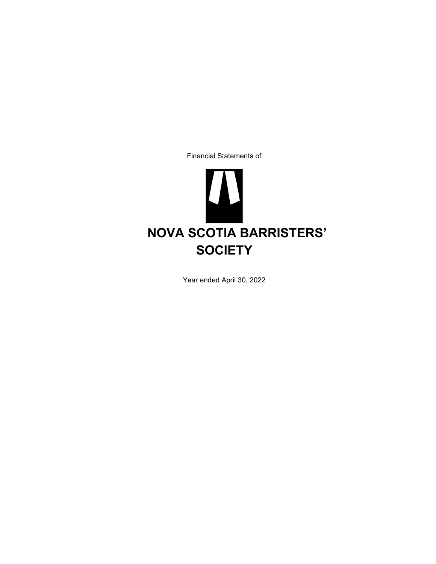Financial Statements of



Year ended April 30, 2022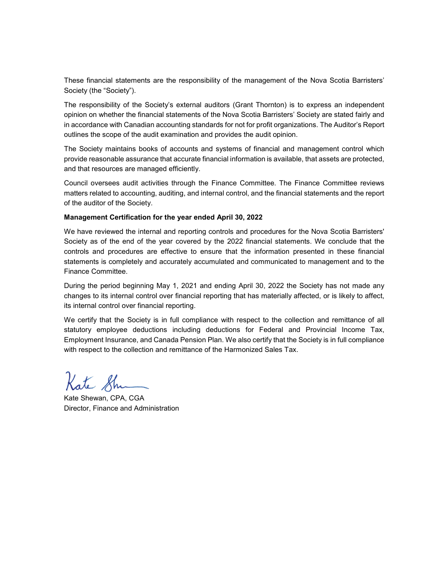These financial statements are the responsibility of the management of the Nova Scotia Barristers' Society (the "Society").

The responsibility of the Society's external auditors (Grant Thornton) is to express an independent opinion on whether the financial statements of the Nova Scotia Barristers' Society are stated fairly and in accordance with Canadian accounting standards for not for profit organizations. The Auditor's Report outlines the scope of the audit examination and provides the audit opinion.

The Society maintains books of accounts and systems of financial and management control which provide reasonable assurance that accurate financial information is available, that assets are protected, and that resources are managed efficiently.

Council oversees audit activities through the Finance Committee. The Finance Committee reviews matters related to accounting, auditing, and internal control, and the financial statements and the report of the auditor of the Society.

## **Management Certification for the year ended April 30, 2022**

We have reviewed the internal and reporting controls and procedures for the Nova Scotia Barristers' Society as of the end of the year covered by the 2022 financial statements. We conclude that the controls and procedures are effective to ensure that the information presented in these financial statements is completely and accurately accumulated and communicated to management and to the Finance Committee.

During the period beginning May 1, 2021 and ending April 30, 2022 the Society has not made any changes to its internal control over financial reporting that has materially affected, or is likely to affect, its internal control over financial reporting.

We certify that the Society is in full compliance with respect to the collection and remittance of all statutory employee deductions including deductions for Federal and Provincial Income Tax, Employment Insurance, and Canada Pension Plan. We also certify that the Society is in full compliance with respect to the collection and remittance of the Harmonized Sales Tax.

Kate Sh

Kate Shewan, CPA, CGA Director, Finance and Administration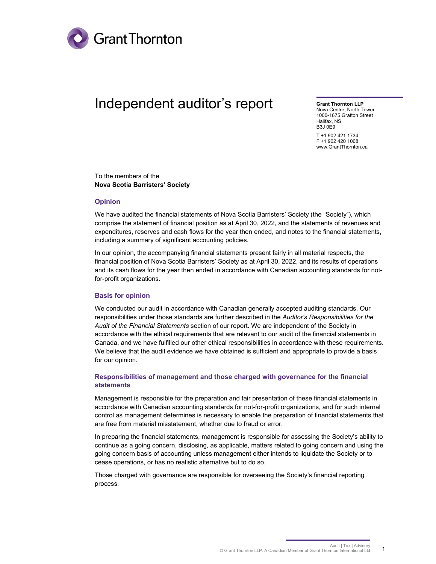

## Independent auditor's report

**Grant Thornton LLP** Nova Centre, North Tower 1000-1675 Grafton Street Halifax, NS B3J 0E9

T +1 902 421 1734 F +1 902 420 1068 www.GrantThornton.ca

To the members of the **Nova Scotia Barristers' Society**

## **Opinion**

We have audited the financial statements of Nova Scotia Barristers' Society (the "Society"), which comprise the statement of financial position as at April 30, 2022, and the statements of revenues and expenditures, reserves and cash flows for the year then ended, and notes to the financial statements, including a summary of significant accounting policies.

In our opinion, the accompanying financial statements present fairly in all material respects, the financial position of Nova Scotia Barristers' Society as at April 30, 2022, and its results of operations and its cash flows for the year then ended in accordance with Canadian accounting standards for notfor-profit organizations.

#### **Basis for opinion**

We conducted our audit in accordance with Canadian generally accepted auditing standards. Our responsibilities under those standards are further described in the *Auditor's Responsibilities for the Audit of the Financial Statements* section of our report. We are independent of the Society in accordance with the ethical requirements that are relevant to our audit of the financial statements in Canada, and we have fulfilled our other ethical responsibilities in accordance with these requirements. We believe that the audit evidence we have obtained is sufficient and appropriate to provide a basis for our opinion.

## **Responsibilities of management and those charged with governance for the financial statements**

Management is responsible for the preparation and fair presentation of these financial statements in accordance with Canadian accounting standards for not-for-profit organizations, and for such internal control as management determines is necessary to enable the preparation of financial statements that are free from material misstatement, whether due to fraud or error.

In preparing the financial statements, management is responsible for assessing the Society's ability to continue as a going concern, disclosing, as applicable, matters related to going concern and using the going concern basis of accounting unless management either intends to liquidate the Society or to cease operations, or has no realistic alternative but to do so.

Those charged with governance are responsible for overseeing the Society's financial reporting process.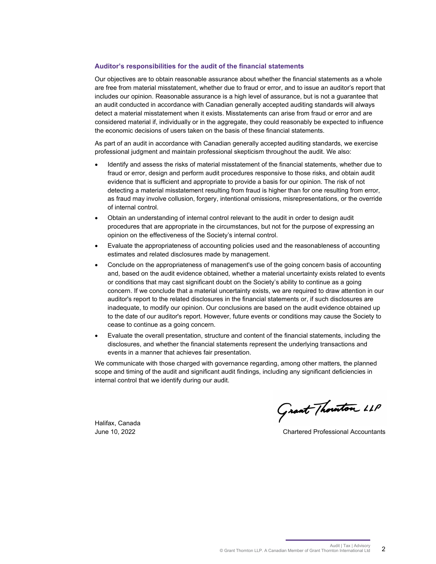#### **Auditor's responsibilities for the audit of the financial statements**

Our objectives are to obtain reasonable assurance about whether the financial statements as a whole are free from material misstatement, whether due to fraud or error, and to issue an auditor's report that includes our opinion. Reasonable assurance is a high level of assurance, but is not a guarantee that an audit conducted in accordance with Canadian generally accepted auditing standards will always detect a material misstatement when it exists. Misstatements can arise from fraud or error and are considered material if, individually or in the aggregate, they could reasonably be expected to influence the economic decisions of users taken on the basis of these financial statements.

As part of an audit in accordance with Canadian generally accepted auditing standards, we exercise professional judgment and maintain professional skepticism throughout the audit. We also:

- Identify and assess the risks of material misstatement of the financial statements, whether due to fraud or error, design and perform audit procedures responsive to those risks, and obtain audit evidence that is sufficient and appropriate to provide a basis for our opinion. The risk of not detecting a material misstatement resulting from fraud is higher than for one resulting from error, as fraud may involve collusion, forgery, intentional omissions, misrepresentations, or the override of internal control.
- Obtain an understanding of internal control relevant to the audit in order to design audit procedures that are appropriate in the circumstances, but not for the purpose of expressing an opinion on the effectiveness of the Society's internal control.
- Evaluate the appropriateness of accounting policies used and the reasonableness of accounting estimates and related disclosures made by management.
- Conclude on the appropriateness of management's use of the going concern basis of accounting and, based on the audit evidence obtained, whether a material uncertainty exists related to events or conditions that may cast significant doubt on the Society's ability to continue as a going concern. If we conclude that a material uncertainty exists, we are required to draw attention in our auditor's report to the related disclosures in the financial statements or, if such disclosures are inadequate, to modify our opinion. Our conclusions are based on the audit evidence obtained up to the date of our auditor's report. However, future events or conditions may cause the Society to cease to continue as a going concern.
- Evaluate the overall presentation, structure and content of the financial statements, including the disclosures, and whether the financial statements represent the underlying transactions and events in a manner that achieves fair presentation.

We communicate with those charged with governance regarding, among other matters, the planned scope and timing of the audit and significant audit findings, including any significant deficiencies in internal control that we identify during our audit.

Halifax, Canada

Grant Thouton LLP

June 10, 2022 Chartered Professional Accountants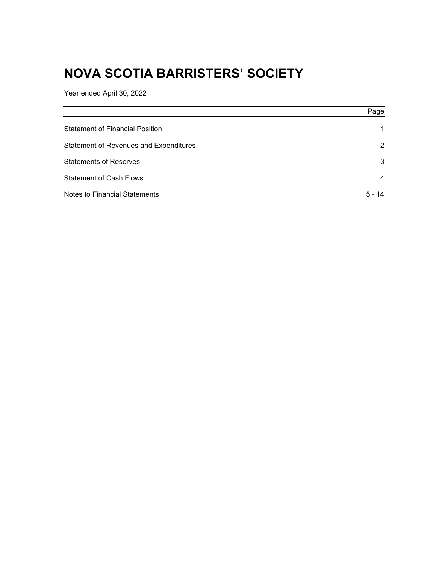Year ended April 30, 2022

|                                        | Page     |
|----------------------------------------|----------|
| <b>Statement of Financial Position</b> | 1        |
| Statement of Revenues and Expenditures | 2        |
| <b>Statements of Reserves</b>          | 3        |
| <b>Statement of Cash Flows</b>         | 4        |
| Notes to Financial Statements          | $5 - 14$ |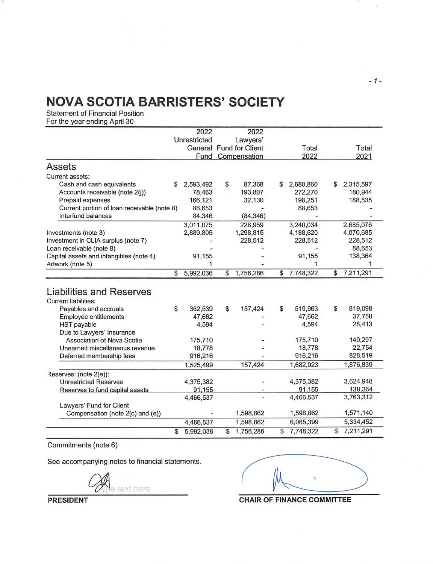**Statement of Financial Position** 

For the year ending April 30

|                                                         | 2022            | 2022                     |    |                   |                   |
|---------------------------------------------------------|-----------------|--------------------------|----|-------------------|-------------------|
|                                                         | Unrestricted    | Lawyers'                 |    |                   |                   |
|                                                         |                 | General Fund for Client  |    | Total             | Total             |
|                                                         | Fund            | Compensation             |    | 2022              | 2021              |
| Assets                                                  |                 |                          |    |                   |                   |
| Current assets:                                         |                 |                          |    |                   |                   |
| Cash and cash equivalents                               | 2,593,492       | \$<br>87,368             | S  | 2,680,860         | \$<br>2,315,597   |
| Accounts receivable (note 2(j))                         | 78,463          | 193,807                  |    | 272,270           | 180,944           |
| Prepaid expenses                                        | 166,121         | 32,130                   |    | 198,251           | 188,535           |
| Current portion of loan receivable (note 8)             | 88,653          |                          |    | 88,653            |                   |
| Interfund balances                                      | 84,346          | (84, 346)                |    |                   |                   |
|                                                         | 3,011,075       | 228,959                  |    | 3,240,034         | 2,685,076         |
| Investments (note 3)                                    | 2,889,805       | 1,298,815                |    | 4,188,620         | 4,070,685         |
| Investment in CLIA surplus (note 7)                     |                 | 228,512                  |    | 228,512           | 228,512           |
| Loan receivable (note 8)                                |                 |                          |    |                   | 88,653            |
| Capital assets and intangibles (note 4)                 | 91,155          |                          |    | 91,155            | 138,364           |
| Artwork (note 5)                                        | 1               |                          |    | 1                 |                   |
|                                                         | \$<br>5,992,036 | \$<br>1,756,286          | \$ | 7,748,322         | \$<br>7,211,291   |
| Liabilities and Reserves<br><b>Current liabilities:</b> |                 |                          |    |                   |                   |
| Payables and accruals                                   | \$<br>362,539   | \$<br>157,424            | \$ | 519,963           | \$<br>819,098     |
| Employee entitlements                                   | 47,662          |                          |    | 47,662            | 37,758            |
| HST payable                                             | 4,594           |                          |    | 4,594             | 28,413            |
| Due to Lawyers' Insurance                               |                 |                          |    |                   |                   |
| Association of Nova Scotia                              | 175,710         |                          |    | 175,710           | 140,297           |
| Unearned miscellaneous revenue                          | 18,778          |                          |    | 18,778<br>916,216 | 22,754<br>828,519 |
| Deferred membership fees                                | 916,216         |                          |    |                   |                   |
|                                                         | 1,525,499       | 157,424                  |    | 1,682,923         | 1,876,839         |
| Reserves: (note 2(e)):                                  |                 |                          |    |                   |                   |
| <b>Unrestricted Reserves</b>                            | 4,375,382       |                          |    | 4,375,382         | 3,624,948         |
| Reserves to fund capital assets                         | 91,155          |                          |    | 91,155            | 138,364           |
|                                                         | 4,466,537       | $\overline{\phantom{0}}$ |    | 4,466,537         | 3,763,312         |
| Lawyers' Fund for Client                                |                 |                          |    |                   |                   |
| Compensation (note 2(c) and (e))                        |                 | 1,598,862                |    | 1,598,862         | 1,571,140         |
|                                                         | 4,466,537       | 1,598,862                |    | 6,065,399         | 5,334,452         |
|                                                         | \$<br>5,992,036 | \$<br>1,756,286          | \$ | 7,748,322         | \$<br>7,211,291   |

Commitments (note 6)

See accompanying notes to financial statements.

e text here

**CHAIR OF FINANCE COMMITTEE** 

**PRESIDENT** 

IQ)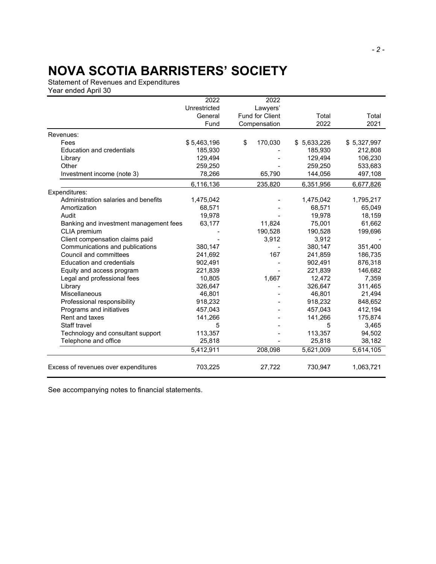Statement of Revenues and Expenditures

| Year ended April 30                    |              |                        |             |             |
|----------------------------------------|--------------|------------------------|-------------|-------------|
|                                        | 2022         | 2022                   |             |             |
|                                        | Unrestricted | Lawyers'               |             |             |
|                                        | General      | <b>Fund for Client</b> | Total       | Total       |
|                                        | Fund         | Compensation           | 2022        | 2021        |
| Revenues:                              |              |                        |             |             |
| Fees                                   | \$5,463,196  | \$<br>170,030          | \$5,633,226 | \$5,327,997 |
| <b>Education and credentials</b>       | 185,930      |                        | 185,930     | 212,808     |
| Library                                | 129,494      |                        | 129,494     | 106,230     |
| Other                                  | 259,250      |                        | 259,250     | 533,683     |
| Investment income (note 3)             | 78,266       | 65,790                 | 144,056     | 497,108     |
|                                        | 6,116,136    | 235,820                | 6,351,956   | 6,677,826   |
| Expenditures:                          |              |                        |             |             |
| Administration salaries and benefits   | 1,475,042    |                        | 1,475,042   | 1,795,217   |
| Amortization                           | 68,571       |                        | 68,571      | 65,049      |
| Audit                                  | 19,978       |                        | 19,978      | 18,159      |
| Banking and investment management fees | 63,177       | 11,824                 | 75,001      | 61,662      |
| CLIA premium                           |              | 190,528                | 190,528     | 199,696     |
| Client compensation claims paid        |              | 3,912                  | 3,912       |             |
| Communications and publications        | 380,147      |                        | 380,147     | 351,400     |
| Council and committees                 | 241,692      | 167                    | 241,859     | 186,735     |
| <b>Education and credentials</b>       | 902,491      |                        | 902,491     | 876,318     |
| Equity and access program              | 221,839      |                        | 221,839     | 146,682     |
| Legal and professional fees            | 10,805       | 1,667                  | 12,472      | 7,359       |
| Library                                | 326,647      |                        | 326,647     | 311,465     |
| Miscellaneous                          | 46,801       |                        | 46,801      | 21,494      |
| Professional responsibility            | 918,232      |                        | 918,232     | 848,652     |
| Programs and initiatives               | 457,043      |                        | 457,043     | 412,194     |
| Rent and taxes                         | 141,266      |                        | 141,266     | 175,874     |
| Staff travel                           | 5            |                        | 5           | 3,465       |
| Technology and consultant support      | 113,357      |                        | 113,357     | 94,502      |
| Telephone and office                   | 25,818       |                        | 25,818      | 38,182      |
|                                        | 5,412,911    | 208,098                | 5,621,009   | 5,614,105   |
| Excess of revenues over expenditures   | 703,225      | 27,722                 | 730,947     | 1,063,721   |

See accompanying notes to financial statements.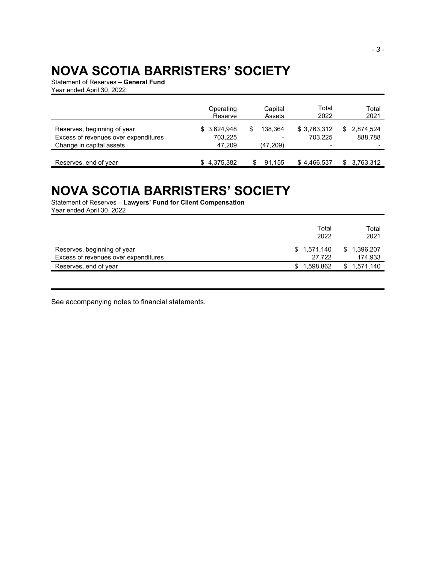Statement of Reserves – **General Fund**

Year ended April 30, 2022

|                                                                                                 | Operating<br>Reserve             | Capital<br>Assets   | Total<br>2022                                      | Total<br>2021          |
|-------------------------------------------------------------------------------------------------|----------------------------------|---------------------|----------------------------------------------------|------------------------|
| Reserves, beginning of year<br>Excess of revenues over expenditures<br>Change in capital assets | \$3,624,948<br>703,225<br>47.209 | 138.364<br>(47,209) | \$3,763,312<br>703.225<br>$\overline{\phantom{a}}$ | \$2.874.524<br>888,788 |
| Reserves, end of year                                                                           | \$4,375,382                      | 91.155              | \$4,466,537                                        | 3,763,312              |

## **NOVA SCOTIA BARRISTERS' SOCIETY**

Statement of Reserves – **Lawyers' Fund for Client Compensation** Year ended April 30, 2022

|                                                                     | Total<br>2022         | Total<br>2021          |
|---------------------------------------------------------------------|-----------------------|------------------------|
| Reserves, beginning of year<br>Excess of revenues over expenditures | \$1,571,140<br>27.722 | \$1,396,207<br>174,933 |
| Reserves, end of year                                               | 1,598,862             | \$1,571,140            |

See accompanying notes to financial statements.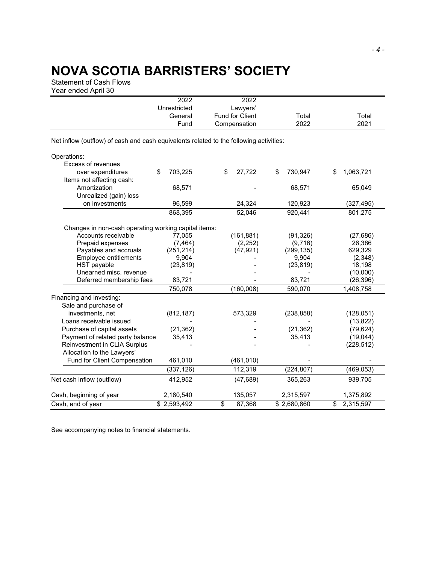Statement of Cash Flows

Year ended April 30

|                                                                                        | 2022          | 2022            |               |                 |
|----------------------------------------------------------------------------------------|---------------|-----------------|---------------|-----------------|
|                                                                                        | Unrestricted  | Lawyers'        |               |                 |
|                                                                                        | General       | Fund for Client | Total         | Total           |
|                                                                                        | Fund          | Compensation    | 2022          | 2021            |
| Net inflow (outflow) of cash and cash equivalents related to the following activities: |               |                 |               |                 |
| Operations:                                                                            |               |                 |               |                 |
| Excess of revenues                                                                     |               |                 |               |                 |
| over expenditures                                                                      | \$<br>703,225 | 27,722<br>\$    | 730,947<br>\$ | \$<br>1,063,721 |
| Items not affecting cash:                                                              |               |                 |               |                 |
| Amortization                                                                           | 68,571        |                 | 68,571        | 65,049          |
| Unrealized (gain) loss                                                                 |               |                 |               |                 |
| on investments                                                                         | 96,599        | 24,324          | 120,923       | (327, 495)      |
|                                                                                        | 868,395       | 52,046          | 920,441       | 801,275         |
| Changes in non-cash operating working capital items:                                   |               |                 |               |                 |
| Accounts receivable                                                                    | 77,055        | (161, 881)      | (91, 326)     | (27, 686)       |
| Prepaid expenses                                                                       | (7, 464)      | (2,252)         | (9,716)       | 26,386          |
| Payables and accruals                                                                  | (251, 214)    | (47, 921)       | (299, 135)    | 629,329         |
| Employee entitlements                                                                  | 9,904         |                 | 9,904         | (2,348)         |
| HST payable                                                                            | (23, 819)     |                 | (23, 819)     | 18,198          |
| Unearned misc. revenue                                                                 |               |                 |               | (10,000)        |
| Deferred membership fees                                                               | 83,721        |                 | 83,721        | (26, 396)       |
|                                                                                        | 750,078       | (160,008)       | 590,070       | 1,408,758       |
| Financing and investing:                                                               |               |                 |               |                 |
| Sale and purchase of                                                                   |               |                 |               |                 |
| investments, net                                                                       | (812, 187)    | 573,329         | (238, 858)    | (128, 051)      |
| Loans receivable issued                                                                |               |                 |               | (13, 822)       |
| Purchase of capital assets                                                             | (21, 362)     |                 | (21, 362)     | (79, 624)       |
| Payment of related party balance                                                       | 35,413        |                 | 35,413        | (19,044)        |
| Reinvestment in CLIA Surplus                                                           |               |                 |               | (228, 512)      |
| Allocation to the Lawyers'                                                             |               |                 |               |                 |
| Fund for Client Compensation                                                           | 461,010       | (461, 010)      |               |                 |
|                                                                                        | (337, 126)    | 112,319         | (224, 807)    | (469, 053)      |
| Net cash inflow (outflow)                                                              | 412,952       | (47, 689)       | 365,263       | 939,705         |
| Cash, beginning of year                                                                | 2,180,540     | 135,057         | 2,315,597     | 1,375,892       |
| Cash, end of year                                                                      | \$2,593,492   | \$<br>87,368    | \$2,680,860   | \$<br>2,315,597 |

See accompanying notes to financial statements.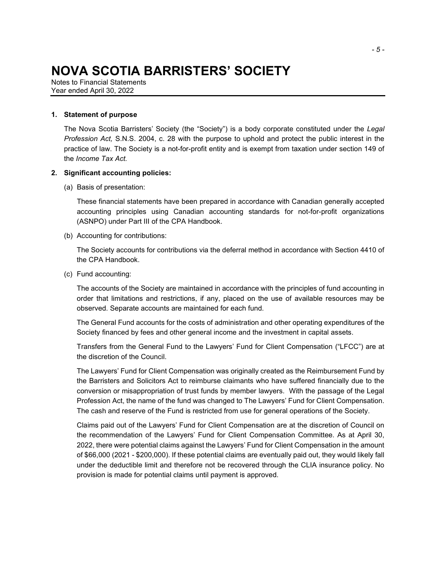Notes to Financial Statements Year ended April 30, 2022

## **1. Statement of purpose**

The Nova Scotia Barristers' Society (the "Society") is a body corporate constituted under the *Legal Profession Act,* S.N.S. 2004, c. 28 with the purpose to uphold and protect the public interest in the practice of law. The Society is a not-for-profit entity and is exempt from taxation under section 149 of the *Income Tax Act.*

#### **2. Significant accounting policies:**

(a) Basis of presentation:

These financial statements have been prepared in accordance with Canadian generally accepted accounting principles using Canadian accounting standards for not-for-profit organizations (ASNPO) under Part III of the CPA Handbook.

(b) Accounting for contributions:

The Society accounts for contributions via the deferral method in accordance with Section 4410 of the CPA Handbook.

(c) Fund accounting:

The accounts of the Society are maintained in accordance with the principles of fund accounting in order that limitations and restrictions, if any, placed on the use of available resources may be observed. Separate accounts are maintained for each fund.

The General Fund accounts for the costs of administration and other operating expenditures of the Society financed by fees and other general income and the investment in capital assets.

Transfers from the General Fund to the Lawyers' Fund for Client Compensation ("LFCC") are at the discretion of the Council.

The Lawyers' Fund for Client Compensation was originally created as the Reimbursement Fund by the Barristers and Solicitors Act to reimburse claimants who have suffered financially due to the conversion or misappropriation of trust funds by member lawyers. With the passage of the Legal Profession Act, the name of the fund was changed to The Lawyers' Fund for Client Compensation. The cash and reserve of the Fund is restricted from use for general operations of the Society.

Claims paid out of the Lawyers' Fund for Client Compensation are at the discretion of Council on the recommendation of the Lawyers' Fund for Client Compensation Committee. As at April 30, 2022, there were potential claims against the Lawyers' Fund for Client Compensation in the amount of \$66,000 (2021 - \$200,000). If these potential claims are eventually paid out, they would likely fall under the deductible limit and therefore not be recovered through the CLIA insurance policy. No provision is made for potential claims until payment is approved.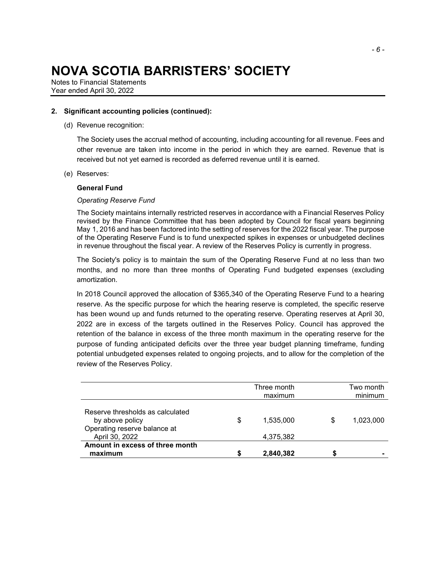Notes to Financial Statements Year ended April 30, 2022

### **2. Significant accounting policies (continued):**

#### (d) Revenue recognition:

The Society uses the accrual method of accounting, including accounting for all revenue. Fees and other revenue are taken into income in the period in which they are earned. Revenue that is received but not yet earned is recorded as deferred revenue until it is earned.

## (e) Reserves:

#### **General Fund**

#### *Operating Reserve Fund*

The Society maintains internally restricted reserves in accordance with a Financial Reserves Policy revised by the Finance Committee that has been adopted by Council for fiscal years beginning May 1, 2016 and has been factored into the setting of reserves for the 2022 fiscal year. The purpose of the Operating Reserve Fund is to fund unexpected spikes in expenses or unbudgeted declines in revenue throughout the fiscal year. A review of the Reserves Policy is currently in progress.

The Society's policy is to maintain the sum of the Operating Reserve Fund at no less than two months, and no more than three months of Operating Fund budgeted expenses (excluding amortization.

In 2018 Council approved the allocation of \$365,340 of the Operating Reserve Fund to a hearing reserve. As the specific purpose for which the hearing reserve is completed, the specific reserve has been wound up and funds returned to the operating reserve. Operating reserves at April 30, 2022 are in excess of the targets outlined in the Reserves Policy. Council has approved the retention of the balance in excess of the three month maximum in the operating reserve for the purpose of funding anticipated deficits over the three year budget planning timeframe, funding potential unbudgeted expenses related to ongoing projects, and to allow for the completion of the review of the Reserves Policy.

|                                                 | Three month<br>maximum | Two month<br>minimum |
|-------------------------------------------------|------------------------|----------------------|
| Reserve thresholds as calculated                |                        |                      |
| by above policy<br>Operating reserve balance at | \$<br>1.535.000        | \$<br>1,023,000      |
| April 30, 2022                                  | 4,375,382              |                      |
| Amount in excess of three month                 |                        |                      |
| maximum                                         | 2,840,382              |                      |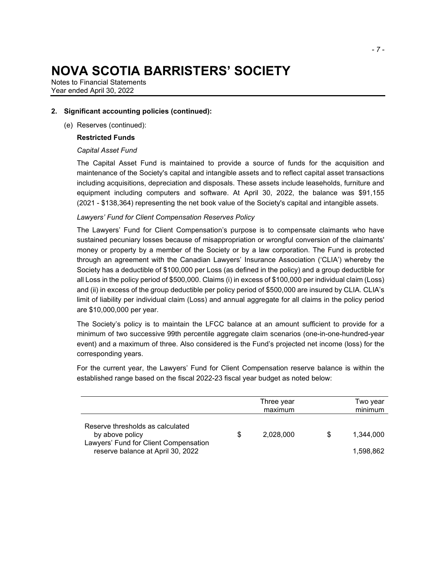Notes to Financial Statements Year ended April 30, 2022

## **2. Significant accounting policies (continued):**

(e) Reserves (continued):

### **Restricted Funds**

## *Capital Asset Fund*

The Capital Asset Fund is maintained to provide a source of funds for the acquisition and maintenance of the Society's capital and intangible assets and to reflect capital asset transactions including acquisitions, depreciation and disposals. These assets include leaseholds, furniture and equipment including computers and software. At April 30, 2022, the balance was \$91,155 (2021 - \$138,364) representing the net book value of the Society's capital and intangible assets.

## *Lawyers' Fund for Client Compensation Reserves Policy*

The Lawyers' Fund for Client Compensation's purpose is to compensate claimants who have sustained pecuniary losses because of misappropriation or wrongful conversion of the claimants' money or property by a member of the Society or by a law corporation. The Fund is protected through an agreement with the Canadian Lawyers' Insurance Association ('CLIA') whereby the Society has a deductible of \$100,000 per Loss (as defined in the policy) and a group deductible for all Loss in the policy period of \$500,000. Claims (i) in excess of \$100,000 per individual claim (Loss) and (ii) in excess of the group deductible per policy period of \$500,000 are insured by CLIA. CLIA's limit of liability per individual claim (Loss) and annual aggregate for all claims in the policy period are \$10,000,000 per year.

The Society's policy is to maintain the LFCC balance at an amount sufficient to provide for a minimum of two successive 99th percentile aggregate claim scenarios (one-in-one-hundred-year event) and a maximum of three. Also considered is the Fund's projected net income (loss) for the corresponding years.

For the current year, the Lawyers' Fund for Client Compensation reserve balance is within the established range based on the fiscal 2022-23 fiscal year budget as noted below:

|                                                                                                                                   |   | Three year<br>maximum |   | Two year<br>minimum    |
|-----------------------------------------------------------------------------------------------------------------------------------|---|-----------------------|---|------------------------|
| Reserve thresholds as calculated<br>by above policy<br>Lawyers' Fund for Client Compensation<br>reserve balance at April 30, 2022 | S | 2.028.000             | S | 1.344.000<br>1,598,862 |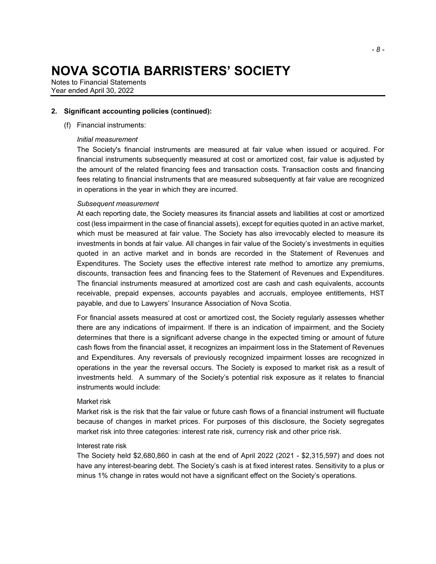Notes to Financial Statements Year ended April 30, 2022

### **2. Significant accounting policies (continued):**

#### (f) Financial instruments:

#### *Initial measurement*

The Society's financial instruments are measured at fair value when issued or acquired. For financial instruments subsequently measured at cost or amortized cost, fair value is adjusted by the amount of the related financing fees and transaction costs. Transaction costs and financing fees relating to financial instruments that are measured subsequently at fair value are recognized in operations in the year in which they are incurred.

#### *Subsequent measurement*

At each reporting date, the Society measures its financial assets and liabilities at cost or amortized cost (less impairment in the case of financial assets), except for equities quoted in an active market, which must be measured at fair value. The Society has also irrevocably elected to measure its investments in bonds at fair value. All changes in fair value of the Society's investments in equities quoted in an active market and in bonds are recorded in the Statement of Revenues and Expenditures. The Society uses the effective interest rate method to amortize any premiums, discounts, transaction fees and financing fees to the Statement of Revenues and Expenditures. The financial instruments measured at amortized cost are cash and cash equivalents, accounts receivable, prepaid expenses, accounts payables and accruals, employee entitlements, HST payable, and due to Lawyers' Insurance Association of Nova Scotia.

For financial assets measured at cost or amortized cost, the Society regularly assesses whether there are any indications of impairment. If there is an indication of impairment, and the Society determines that there is a significant adverse change in the expected timing or amount of future cash flows from the financial asset, it recognizes an impairment loss in the Statement of Revenues and Expenditures. Any reversals of previously recognized impairment losses are recognized in operations in the year the reversal occurs. The Society is exposed to market risk as a result of investments held. A summary of the Society's potential risk exposure as it relates to financial instruments would include:

### Market risk

Market risk is the risk that the fair value or future cash flows of a financial instrument will fluctuate because of changes in market prices. For purposes of this disclosure, the Society segregates market risk into three categories: interest rate risk, currency risk and other price risk.

#### Interest rate risk

The Society held \$2,680,860 in cash at the end of April 2022 (2021 - \$2,315,597) and does not have any interest-bearing debt. The Society's cash is at fixed interest rates. Sensitivity to a plus or minus 1% change in rates would not have a significant effect on the Society's operations.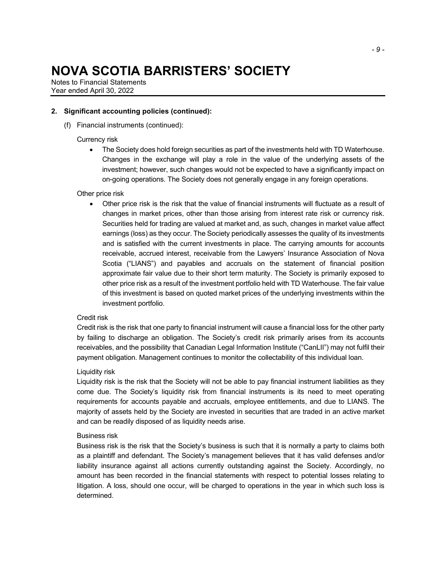Notes to Financial Statements Year ended April 30, 2022

## **2. Significant accounting policies (continued):**

(f) Financial instruments (continued):

#### Currency risk

• The Society does hold foreign securities as part of the investments held with TD Waterhouse. Changes in the exchange will play a role in the value of the underlying assets of the investment; however, such changes would not be expected to have a significantly impact on on-going operations. The Society does not generally engage in any foreign operations.

#### Other price risk

• Other price risk is the risk that the value of financial instruments will fluctuate as a result of changes in market prices, other than those arising from interest rate risk or currency risk. Securities held for trading are valued at market and, as such, changes in market value affect earnings (loss) as they occur. The Society periodically assesses the quality of its investments and is satisfied with the current investments in place. The carrying amounts for accounts receivable, accrued interest, receivable from the Lawyers' Insurance Association of Nova Scotia ("LIANS") and payables and accruals on the statement of financial position approximate fair value due to their short term maturity. The Society is primarily exposed to other price risk as a result of the investment portfolio held with TD Waterhouse. The fair value of this investment is based on quoted market prices of the underlying investments within the investment portfolio.

## Credit risk

Credit risk is the risk that one party to financial instrument will cause a financial loss for the other party by failing to discharge an obligation. The Society's credit risk primarily arises from its accounts receivables, and the possibility that Canadian Legal Information Institute ("CanLII") may not fulfil their payment obligation. Management continues to monitor the collectability of this individual loan.

#### Liquidity risk

Liquidity risk is the risk that the Society will not be able to pay financial instrument liabilities as they come due. The Society's liquidity risk from financial instruments is its need to meet operating requirements for accounts payable and accruals, employee entitlements, and due to LIANS. The majority of assets held by the Society are invested in securities that are traded in an active market and can be readily disposed of as liquidity needs arise.

#### Business risk

Business risk is the risk that the Society's business is such that it is normally a party to claims both as a plaintiff and defendant. The Society's management believes that it has valid defenses and/or liability insurance against all actions currently outstanding against the Society. Accordingly, no amount has been recorded in the financial statements with respect to potential losses relating to litigation. A loss, should one occur, will be charged to operations in the year in which such loss is determined.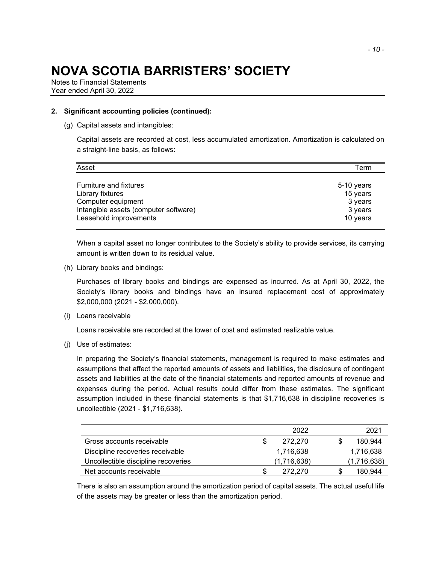Notes to Financial Statements Year ended April 30, 2022

## **2. Significant accounting policies (continued):**

(g) Capital assets and intangibles:

Capital assets are recorded at cost, less accumulated amortization. Amortization is calculated on a straight-line basis, as follows:

| Asset                                 | Term       |
|---------------------------------------|------------|
| <b>Furniture and fixtures</b>         | 5-10 years |
| Library fixtures                      | 15 years   |
| Computer equipment                    | 3 years    |
| Intangible assets (computer software) | 3 years    |
| Leasehold improvements                | 10 years   |

When a capital asset no longer contributes to the Society's ability to provide services, its carrying amount is written down to its residual value.

(h) Library books and bindings:

Purchases of library books and bindings are expensed as incurred. As at April 30, 2022, the Society's library books and bindings have an insured replacement cost of approximately \$2,000,000 (2021 - \$2,000,000).

(i) Loans receivable

Loans receivable are recorded at the lower of cost and estimated realizable value.

(j) Use of estimates:

In preparing the Society's financial statements, management is required to make estimates and assumptions that affect the reported amounts of assets and liabilities, the disclosure of contingent assets and liabilities at the date of the financial statements and reported amounts of revenue and expenses during the period. Actual results could differ from these estimates. The significant assumption included in these financial statements is that \$1,716,638 in discipline recoveries is uncollectible (2021 - \$1,716,638).

|                                     | 2022        | 2021        |
|-------------------------------------|-------------|-------------|
| Gross accounts receivable           | 272.270     | 180.944     |
| Discipline recoveries receivable    | 1.716.638   | 1,716,638   |
| Uncollectible discipline recoveries | (1.716.638) | (1,716,638) |
| Net accounts receivable             | 272.270     | 180.944     |

There is also an assumption around the amortization period of capital assets. The actual useful life of the assets may be greater or less than the amortization period.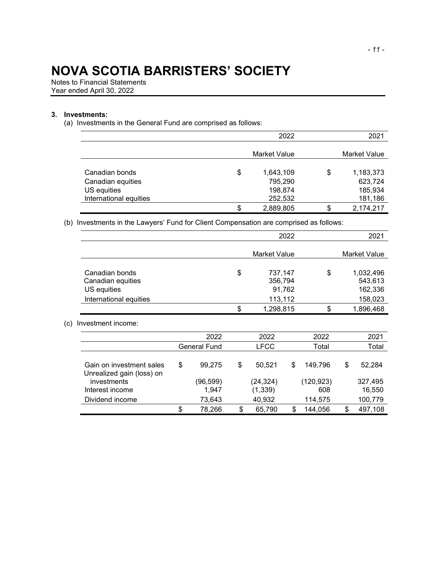Notes to Financial Statements Year ended April 30, 2022

## **3. Investments:**

(a) Investments in the General Fund are comprised as follows:

|                        | 2022            | 2021                |
|------------------------|-----------------|---------------------|
|                        |                 |                     |
|                        | Market Value    | <b>Market Value</b> |
|                        |                 |                     |
| Canadian bonds         | \$<br>1,643,109 | \$<br>1,183,373     |
| Canadian equities      | 795,290         | 623,724             |
| US equities            | 198,874         | 185,934             |
| International equities | 252,532         | 181,186             |
|                        | \$<br>2,889,805 | \$<br>2,174,217     |

(b) Investments in the Lawyers' Fund for Client Compensation are comprised as follows:

|                                                    | 2022                               | 2021                                  |
|----------------------------------------------------|------------------------------------|---------------------------------------|
|                                                    | <b>Market Value</b>                | Market Value                          |
| Canadian bonds<br>Canadian equities<br>US equities | \$<br>737,147<br>356,794<br>91,762 | \$<br>1,032,496<br>543,613<br>162,336 |
| International equities                             | 113,112                            | 158,023                               |
|                                                    | \$<br>1,298,815                    | \$<br>1,896,468                       |

|                                                       | 2022                |                    | 2022        |                       | 2022  |                   |    | 2021              |
|-------------------------------------------------------|---------------------|--------------------|-------------|-----------------------|-------|-------------------|----|-------------------|
|                                                       | <b>General Fund</b> |                    | <b>LFCC</b> |                       | Total |                   |    | Total             |
| Gain on investment sales<br>Unrealized gain (loss) on | \$                  | 99.275             | \$          | 50.521                | \$    | 149.796           | \$ | 52.284            |
| investments<br>Interest income                        |                     | (96, 599)<br>1.947 |             | (24, 324)<br>(1, 339) |       | (120, 923)<br>608 |    | 327,495<br>16,550 |
| Dividend income                                       |                     | 73,643             |             | 40,932                |       | 114,575           |    | 100,779           |
|                                                       | \$                  | 78,266             |             | 65,790                | S     | 144,056           | S  | 497,108           |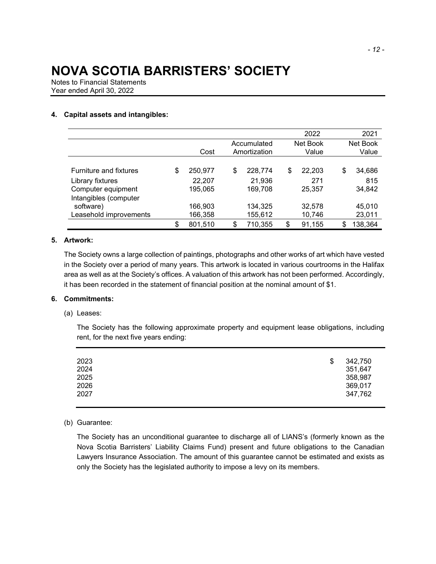Notes to Financial Statements Year ended April 30, 2022

## **4. Capital assets and intangibles:**

|                        |               |              |             | 2022         |    | 2021     |  |
|------------------------|---------------|--------------|-------------|--------------|----|----------|--|
|                        |               |              | Accumulated | Net Book     |    | Net Book |  |
|                        | Cost          | Amortization |             | Value        |    | Value    |  |
|                        |               |              |             |              |    |          |  |
| Furniture and fixtures | \$<br>250,977 | \$           | 228,774     | \$<br>22,203 | \$ | 34,686   |  |
| Library fixtures       | 22,207        |              | 21,936      | 271          |    | 815      |  |
| Computer equipment     | 195,065       |              | 169,708     | 25,357       |    | 34,842   |  |
| Intangibles (computer  |               |              |             |              |    |          |  |
| software)              | 166,903       |              | 134,325     | 32,578       |    | 45,010   |  |
| Leasehold improvements | 166,358       |              | 155,612     | 10,746       |    | 23,011   |  |
|                        | \$<br>801,510 | S            | 710,355     | \$<br>91,155 | S  | 138,364  |  |

## **5. Artwork:**

The Society owns a large collection of paintings, photographs and other works of art which have vested in the Society over a period of many years. This artwork is located in various courtrooms in the Halifax area as well as at the Society's offices. A valuation of this artwork has not been performed. Accordingly, it has been recorded in the statement of financial position at the nominal amount of \$1.

### **6. Commitments:**

#### (a) Leases:

The Society has the following approximate property and equipment lease obligations, including rent, for the next five years ending:

| 2023 | \$<br>342,750 |
|------|---------------|
| 2024 | 351,647       |
| 2025 | 358,987       |
| 2026 | 369,017       |
| 2027 | 347,762       |
|      |               |

### (b) Guarantee:

The Society has an unconditional guarantee to discharge all of LIANS's (formerly known as the Nova Scotia Barristers' Liability Claims Fund) present and future obligations to the Canadian Lawyers Insurance Association. The amount of this guarantee cannot be estimated and exists as only the Society has the legislated authority to impose a levy on its members.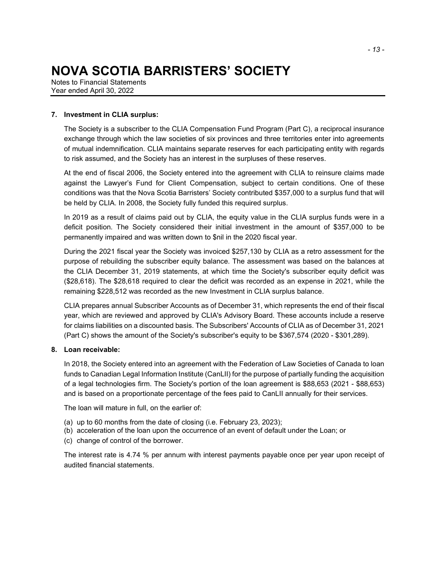Notes to Financial Statements Year ended April 30, 2022

## **7. Investment in CLIA surplus:**

The Society is a subscriber to the CLIA Compensation Fund Program (Part C), a reciprocal insurance exchange through which the law societies of six provinces and three territories enter into agreements of mutual indemnification. CLIA maintains separate reserves for each participating entity with regards to risk assumed, and the Society has an interest in the surpluses of these reserves.

At the end of fiscal 2006, the Society entered into the agreement with CLIA to reinsure claims made against the Lawyer's Fund for Client Compensation, subject to certain conditions. One of these conditions was that the Nova Scotia Barristers' Society contributed \$357,000 to a surplus fund that will be held by CLIA. In 2008, the Society fully funded this required surplus.

In 2019 as a result of claims paid out by CLIA, the equity value in the CLIA surplus funds were in a deficit position. The Society considered their initial investment in the amount of \$357,000 to be permanently impaired and was written down to \$nil in the 2020 fiscal year.

During the 2021 fiscal year the Society was invoiced \$257,130 by CLIA as a retro assessment for the purpose of rebuilding the subscriber equity balance. The assessment was based on the balances at the CLIA December 31, 2019 statements, at which time the Society's subscriber equity deficit was (\$28,618). The \$28,618 required to clear the deficit was recorded as an expense in 2021, while the remaining \$228,512 was recorded as the new Investment in CLIA surplus balance.

CLIA prepares annual Subscriber Accounts as of December 31, which represents the end of their fiscal year, which are reviewed and approved by CLIA's Advisory Board. These accounts include a reserve for claims liabilities on a discounted basis. The Subscribers' Accounts of CLIA as of December 31, 2021 (Part C) shows the amount of the Society's subscriber's equity to be \$367,574 (2020 - \$301,289).

## **8. Loan receivable:**

In 2018, the Society entered into an agreement with the Federation of Law Societies of Canada to loan funds to Canadian Legal Information Institute (CanLII) for the purpose of partially funding the acquisition of a legal technologies firm. The Society's portion of the loan agreement is \$88,653 (2021 - \$88,653) and is based on a proportionate percentage of the fees paid to CanLII annually for their services.

The loan will mature in full, on the earlier of:

- (a) up to 60 months from the date of closing (i.e. February 23, 2023);
- (b) acceleration of the loan upon the occurrence of an event of default under the Loan; or
- (c) change of control of the borrower.

The interest rate is 4.74 % per annum with interest payments payable once per year upon receipt of audited financial statements.